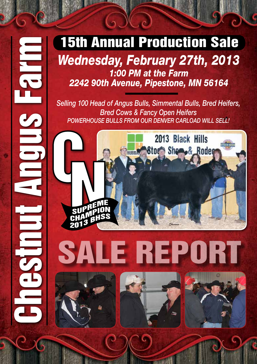#### *Wednesday, February 27th, 2013 1:00 PM at the Farm 2242 90th Avenue, Pipestone, MN 56164*

*Selling 100 Head of Angus Bulls, Simmental Bulls, Bred Heifers, Bred Cows & Fancy Open Heifers POWERHOUSE BULLS FROM OUR DENVER CARLOAD WILL SELL!*



# SALE REPORT





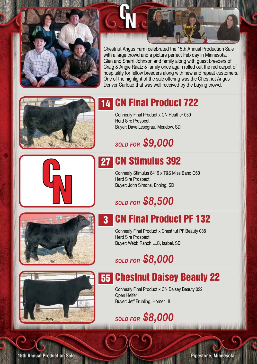

Chestnut Angus Farm celebrated the 15th Annual Production Sale with a large crowd and a picture perfect Feb day in Minnesota. Glen and Sherri Johnson and family along with guest breeders of Craig & Angie Raatz & family once again rolled out the red carpet of hospitality for fellow breeders along with new and repeat customers. One of the highlight of the sale offering was the Chestnut Angus Denver Carload that was well received by the buying crowd.



## 14 CN Final Product 722

Connealy Final Product x CN Heather 059 Herd Sire Prospect Buyer: Dave Lesegrau, Meadow, SD

#### *Sold for \$9,000*

### 27 CN Stimulus 392

Connealy Stimulus 8419 x T&S Miss Band C60 Herd Sire Prospect Buyer: John Simons, Enning, SD

# *Sold for \$8,500*



#### 3 CN Final Product PF 132

Connealy Final Product x Chestnut PF Beauty 088 Herd Sire Prospect Buyer: Webb Ranch LLC, Isabel, SD

#### *Sold for \$8,000*

## 55 Chestnut Daisey Beauty 22

Connealy Final Product x CN Daisey Beauty 022 Open Heifer Buyer: Jeff Fruhling, Homer, IL

#### *Sold for \$8,000*

**15th Annual Production Sale** 

Pipestone, Minnesota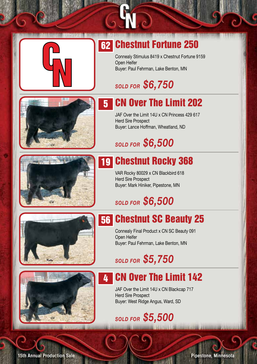

## 62 Chestnut Fortune 250

Connealy Stimulus 8419 x Chestnut Fortune 9159 Open Heifer Buyer: Paul Fehrman, Lake Benton, MN

**TELESIA** 

#### *Sold for \$6,750*

## 5 CN Over The Limit 202

JAF Over the Limit 14U x CN Princess 429 617 Herd Sire Prospect Buyer: Lance Hoffman, Wheatland, ND

### *Sold for \$6,500*



## 19 Chestnut Rocky 368

VAR Rocky 80029 x CN Blackbird 618 Herd Sire Prospect Buyer: Mark Hiniker, Pipestone, MN

### *Sold for \$6,500*





#### 56 Chestnut SC Beauty 25

Connealy Final Product x CN SC Beauty 091 Open Heifer Buyer: Paul Fehrman, Lake Benton, MN

#### *Sold for \$5,750*

#### **4 CN Over The Limit 142**

JAF Over the Limit 14U x CN Blackcap 717 Herd Sire Prospect Buyer: West Ridge Angus, Ward, SD

*Sold for \$5,500*

**15th Annual Production Sale** 

Pipestone, Minnesota